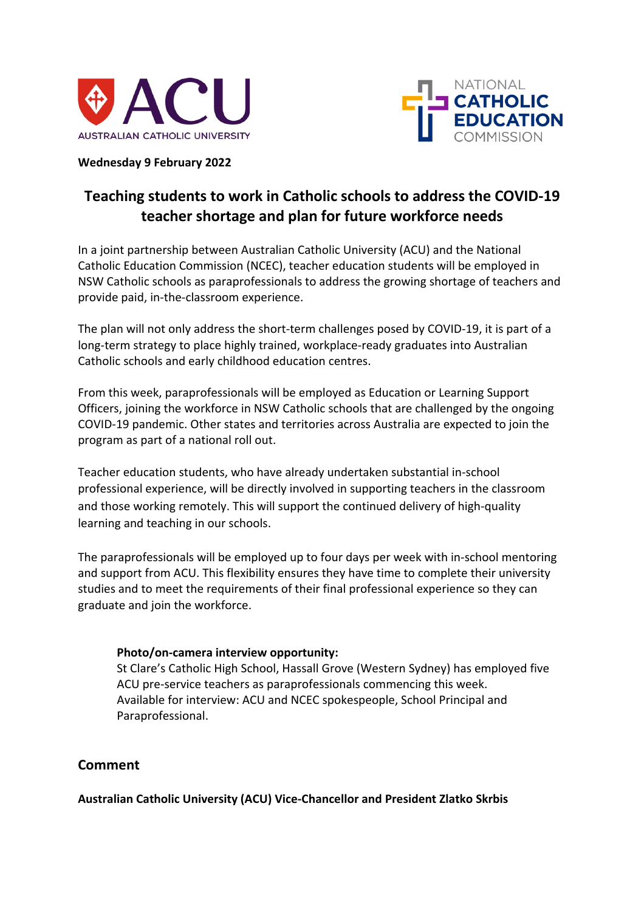



### **Wednesday 9 February 2022**

# **Teaching students to work in Catholic schools to address the COVID-19 teacher shortage and plan for future workforce needs**

In a joint partnership between Australian Catholic University (ACU) and the National Catholic Education Commission (NCEC), teacher education students will be employed in NSW Catholic schools as paraprofessionals to address the growing shortage of teachers and provide paid, in-the-classroom experience.

The plan will not only address the short-term challenges posed by COVID-19, it is part of a long-term strategy to place highly trained, workplace-ready graduates into Australian Catholic schools and early childhood education centres.

From this week, paraprofessionals will be employed as Education or Learning Support Officers, joining the workforce in NSW Catholic schools that are challenged by the ongoing COVID-19 pandemic. Other states and territories across Australia are expected to join the program as part of a national roll out.

Teacher education students, who have already undertaken substantial in-school professional experience, will be directly involved in supporting teachers in the classroom and those working remotely. This will support the continued delivery of high-quality learning and teaching in our schools.

The paraprofessionals will be employed up to four days per week with in-school mentoring and support from ACU. This flexibility ensures they have time to complete their university studies and to meet the requirements of their final professional experience so they can graduate and join the workforce.

## **Photo/on-camera interview opportunity:**

St Clare's Catholic High School, Hassall Grove (Western Sydney) has employed five ACU pre-service teachers as paraprofessionals commencing this week. Available for interview: ACU and NCEC spokespeople, School Principal and Paraprofessional.

## **Comment**

**Australian Catholic University (ACU) Vice-Chancellor and President Zlatko Skrbis**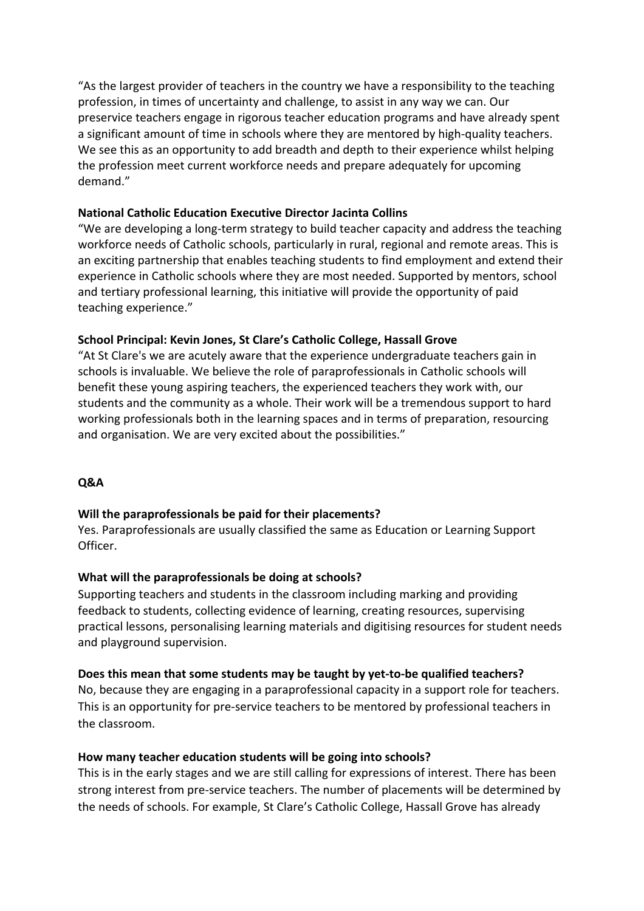"As the largest provider of teachers in the country we have a responsibility to the teaching profession, in times of uncertainty and challenge, to assist in any way we can. Our preservice teachers engage in rigorous teacher education programs and have already spent a significant amount of time in schools where they are mentored by high-quality teachers. We see this as an opportunity to add breadth and depth to their experience whilst helping the profession meet current workforce needs and prepare adequately for upcoming demand."

## **National Catholic Education Executive Director Jacinta Collins**

"We are developing a long-term strategy to build teacher capacity and address the teaching workforce needs of Catholic schools, particularly in rural, regional and remote areas. This is an exciting partnership that enables teaching students to find employment and extend their experience in Catholic schools where they are most needed. Supported by mentors, school and tertiary professional learning, this initiative will provide the opportunity of paid teaching experience."

### **School Principal: Kevin Jones, St Clare's Catholic College, Hassall Grove**

"At St Clare's we are acutely aware that the experience undergraduate teachers gain in schools is invaluable. We believe the role of paraprofessionals in Catholic schools will benefit these young aspiring teachers, the experienced teachers they work with, our students and the community as a whole. Their work will be a tremendous support to hard working professionals both in the learning spaces and in terms of preparation, resourcing and organisation. We are very excited about the possibilities."

## **Q&A**

#### **Will the paraprofessionals be paid for their placements?**

Yes. Paraprofessionals are usually classified the same as Education or Learning Support Officer.

#### **What will the paraprofessionals be doing at schools?**

Supporting teachers and students in the classroom including marking and providing feedback to students, collecting evidence of learning, creating resources, supervising practical lessons, personalising learning materials and digitising resources for student needs and playground supervision.

#### **Does this mean that some students may be taught by yet-to-be qualified teachers?**

No, because they are engaging in a paraprofessional capacity in a support role for teachers. This is an opportunity for pre-service teachers to be mentored by professional teachers in the classroom.

#### **How many teacher education students will be going into schools?**

This is in the early stages and we are still calling for expressions of interest. There has been strong interest from pre-service teachers. The number of placements will be determined by the needs of schools. For example, St Clare's Catholic College, Hassall Grove has already